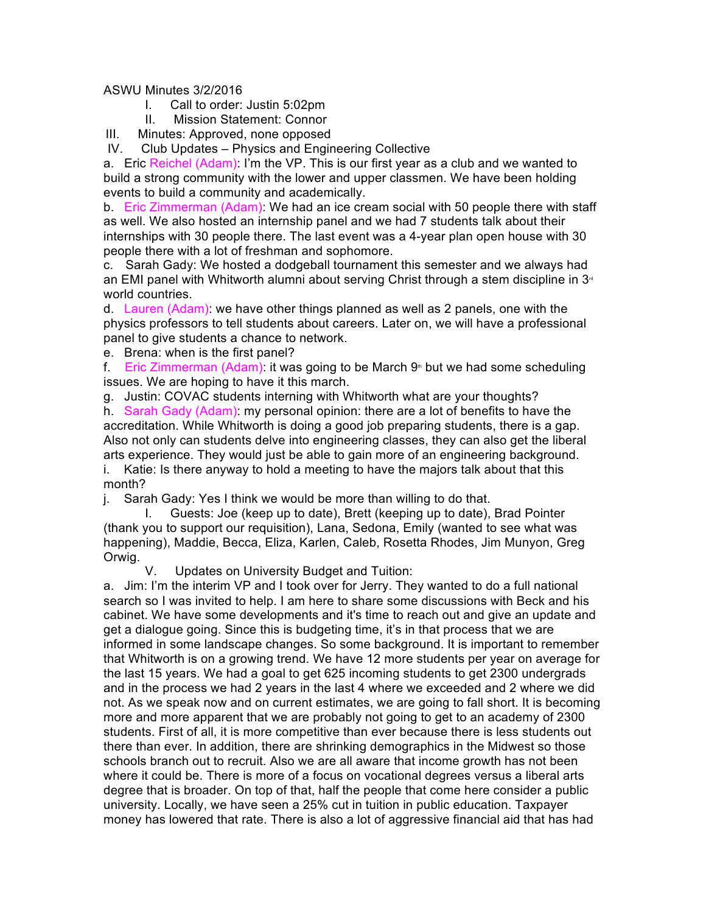ASWU Minutes 3/2/2016

- I. Call to order: Justin 5:02pm
- II. Mission Statement: Connor
- III. Minutes: Approved, none opposed

IV. Club Updates – Physics and Engineering Collective

a. Eric Reichel (Adam): I'm the VP. This is our first year as a club and we wanted to build a strong community with the lower and upper classmen. We have been holding events to build a community and academically.

b. Eric Zimmerman (Adam): We had an ice cream social with 50 people there with staff as well. We also hosted an internship panel and we had 7 students talk about their internships with 30 people there. The last event was a 4-year plan open house with 30 people there with a lot of freshman and sophomore.

c. Sarah Gady: We hosted a dodgeball tournament this semester and we always had an EMI panel with Whitworth alumni about serving Christ through a stem discipline in  $3<sup>d</sup>$ world countries.

d. Lauren (Adam): we have other things planned as well as 2 panels, one with the physics professors to tell students about careers. Later on, we will have a professional panel to give students a chance to network.

e. Brena: when is the first panel?

f. Eric Zimmerman (Adam): it was going to be March  $9<sup>th</sup>$  but we had some scheduling issues. We are hoping to have it this march.

g. Justin: COVAC students interning with Whitworth what are your thoughts?

h. Sarah Gady (Adam): my personal opinion: there are a lot of benefits to have the accreditation. While Whitworth is doing a good job preparing students, there is a gap. Also not only can students delve into engineering classes, they can also get the liberal arts experience. They would just be able to gain more of an engineering background. i. Katie: Is there anyway to hold a meeting to have the majors talk about that this

month?

j. Sarah Gady: Yes I think we would be more than willing to do that.

I. Guests: Joe (keep up to date), Brett (keeping up to date), Brad Pointer (thank you to support our requisition), Lana, Sedona, Emily (wanted to see what was happening), Maddie, Becca, Eliza, Karlen, Caleb, Rosetta Rhodes, Jim Munyon, Greg Orwig.

V. Updates on University Budget and Tuition:

a. Jim: I'm the interim VP and I took over for Jerry. They wanted to do a full national search so I was invited to help. I am here to share some discussions with Beck and his cabinet. We have some developments and it's time to reach out and give an update and get a dialogue going. Since this is budgeting time, it's in that process that we are informed in some landscape changes. So some background. It is important to remember that Whitworth is on a growing trend. We have 12 more students per year on average for the last 15 years. We had a goal to get 625 incoming students to get 2300 undergrads and in the process we had 2 years in the last 4 where we exceeded and 2 where we did not. As we speak now and on current estimates, we are going to fall short. It is becoming more and more apparent that we are probably not going to get to an academy of 2300 students. First of all, it is more competitive than ever because there is less students out there than ever. In addition, there are shrinking demographics in the Midwest so those schools branch out to recruit. Also we are all aware that income growth has not been where it could be. There is more of a focus on vocational degrees versus a liberal arts degree that is broader. On top of that, half the people that come here consider a public university. Locally, we have seen a 25% cut in tuition in public education. Taxpayer money has lowered that rate. There is also a lot of aggressive financial aid that has had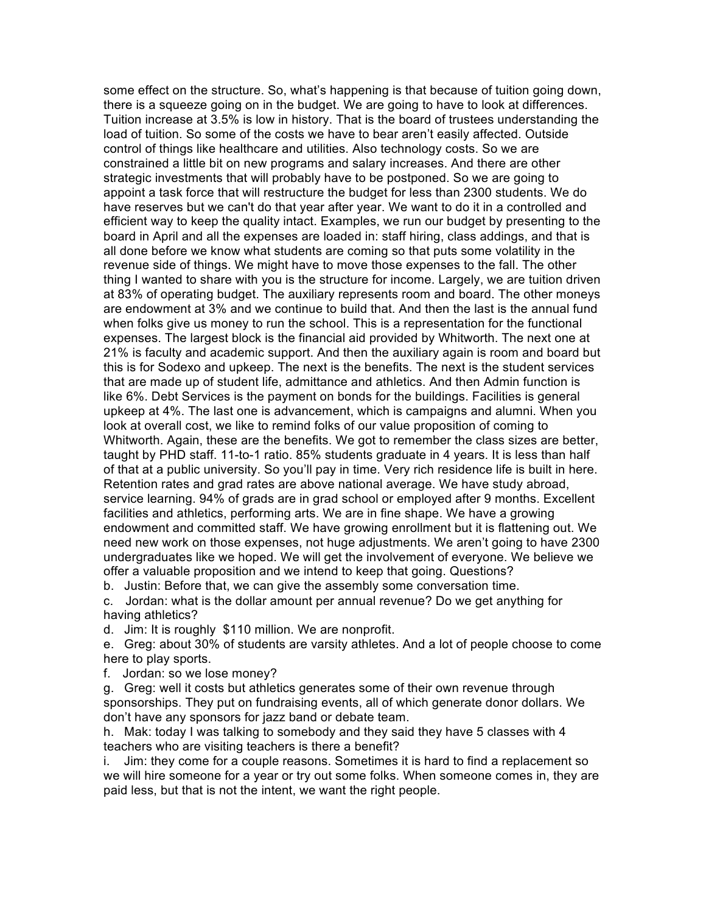some effect on the structure. So, what's happening is that because of tuition going down, there is a squeeze going on in the budget. We are going to have to look at differences. Tuition increase at 3.5% is low in history. That is the board of trustees understanding the load of tuition. So some of the costs we have to bear aren't easily affected. Outside control of things like healthcare and utilities. Also technology costs. So we are constrained a little bit on new programs and salary increases. And there are other strategic investments that will probably have to be postponed. So we are going to appoint a task force that will restructure the budget for less than 2300 students. We do have reserves but we can't do that year after year. We want to do it in a controlled and efficient way to keep the quality intact. Examples, we run our budget by presenting to the board in April and all the expenses are loaded in: staff hiring, class addings, and that is all done before we know what students are coming so that puts some volatility in the revenue side of things. We might have to move those expenses to the fall. The other thing I wanted to share with you is the structure for income. Largely, we are tuition driven at 83% of operating budget. The auxiliary represents room and board. The other moneys are endowment at 3% and we continue to build that. And then the last is the annual fund when folks give us money to run the school. This is a representation for the functional expenses. The largest block is the financial aid provided by Whitworth. The next one at 21% is faculty and academic support. And then the auxiliary again is room and board but this is for Sodexo and upkeep. The next is the benefits. The next is the student services that are made up of student life, admittance and athletics. And then Admin function is like 6%. Debt Services is the payment on bonds for the buildings. Facilities is general upkeep at 4%. The last one is advancement, which is campaigns and alumni. When you look at overall cost, we like to remind folks of our value proposition of coming to Whitworth. Again, these are the benefits. We got to remember the class sizes are better, taught by PHD staff. 11-to-1 ratio. 85% students graduate in 4 years. It is less than half of that at a public university. So you'll pay in time. Very rich residence life is built in here. Retention rates and grad rates are above national average. We have study abroad, service learning. 94% of grads are in grad school or employed after 9 months. Excellent facilities and athletics, performing arts. We are in fine shape. We have a growing endowment and committed staff. We have growing enrollment but it is flattening out. We need new work on those expenses, not huge adjustments. We aren't going to have 2300 undergraduates like we hoped. We will get the involvement of everyone. We believe we offer a valuable proposition and we intend to keep that going. Questions?

b. Justin: Before that, we can give the assembly some conversation time.

c. Jordan: what is the dollar amount per annual revenue? Do we get anything for having athletics?

d. Jim: It is roughly \$110 million. We are nonprofit.

e. Greg: about 30% of students are varsity athletes. And a lot of people choose to come here to play sports.

f. Jordan: so we lose money?

g. Greg: well it costs but athletics generates some of their own revenue through sponsorships. They put on fundraising events, all of which generate donor dollars. We don't have any sponsors for jazz band or debate team.

h. Mak: today I was talking to somebody and they said they have 5 classes with 4 teachers who are visiting teachers is there a benefit?

i. Jim: they come for a couple reasons. Sometimes it is hard to find a replacement so we will hire someone for a year or try out some folks. When someone comes in, they are paid less, but that is not the intent, we want the right people.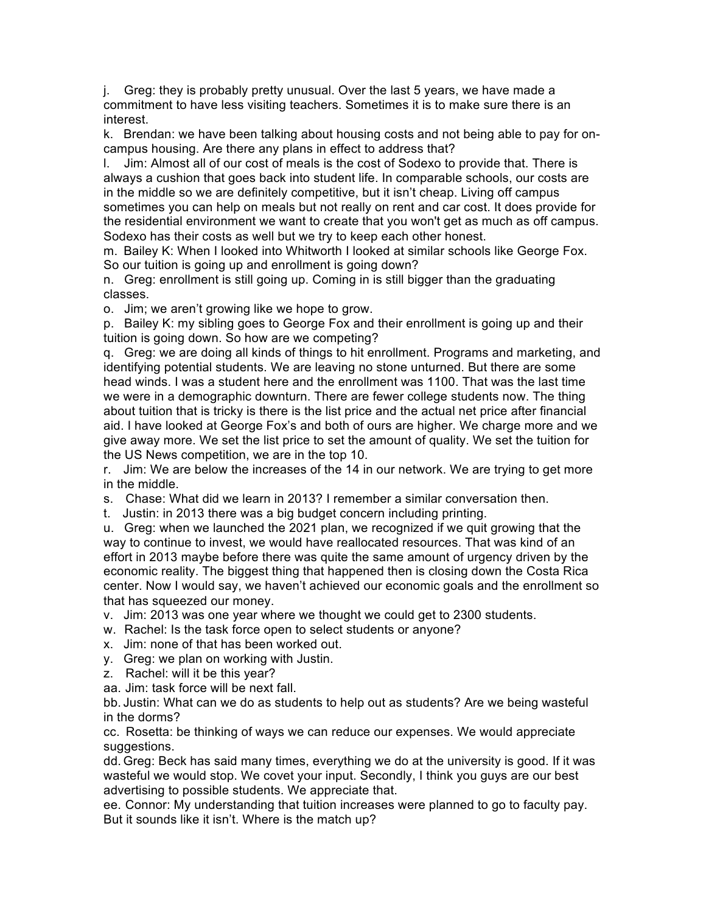j. Greg: they is probably pretty unusual. Over the last 5 years, we have made a commitment to have less visiting teachers. Sometimes it is to make sure there is an interest.

k. Brendan: we have been talking about housing costs and not being able to pay for oncampus housing. Are there any plans in effect to address that?

l. Jim: Almost all of our cost of meals is the cost of Sodexo to provide that. There is always a cushion that goes back into student life. In comparable schools, our costs are in the middle so we are definitely competitive, but it isn't cheap. Living off campus sometimes you can help on meals but not really on rent and car cost. It does provide for the residential environment we want to create that you won't get as much as off campus. Sodexo has their costs as well but we try to keep each other honest.

m. Bailey K: When I looked into Whitworth I looked at similar schools like George Fox. So our tuition is going up and enrollment is going down?

n. Greg: enrollment is still going up. Coming in is still bigger than the graduating classes.

o. Jim; we aren't growing like we hope to grow.

p. Bailey K: my sibling goes to George Fox and their enrollment is going up and their tuition is going down. So how are we competing?

q. Greg: we are doing all kinds of things to hit enrollment. Programs and marketing, and identifying potential students. We are leaving no stone unturned. But there are some head winds. I was a student here and the enrollment was 1100. That was the last time we were in a demographic downturn. There are fewer college students now. The thing about tuition that is tricky is there is the list price and the actual net price after financial aid. I have looked at George Fox's and both of ours are higher. We charge more and we give away more. We set the list price to set the amount of quality. We set the tuition for the US News competition, we are in the top 10.

r. Jim: We are below the increases of the 14 in our network. We are trying to get more in the middle.

s. Chase: What did we learn in 2013? I remember a similar conversation then.

t. Justin: in 2013 there was a big budget concern including printing.

u. Greg: when we launched the 2021 plan, we recognized if we quit growing that the way to continue to invest, we would have reallocated resources. That was kind of an effort in 2013 maybe before there was quite the same amount of urgency driven by the economic reality. The biggest thing that happened then is closing down the Costa Rica center. Now I would say, we haven't achieved our economic goals and the enrollment so that has squeezed our money.

v. Jim: 2013 was one year where we thought we could get to 2300 students.

- w. Rachel: Is the task force open to select students or anyone?
- x. Jim: none of that has been worked out.
- y. Greg: we plan on working with Justin.
- z. Rachel: will it be this year?

aa. Jim: task force will be next fall.

bb. Justin: What can we do as students to help out as students? Are we being wasteful in the dorms?

cc. Rosetta: be thinking of ways we can reduce our expenses. We would appreciate suggestions.

dd. Greg: Beck has said many times, everything we do at the university is good. If it was wasteful we would stop. We covet your input. Secondly, I think you guys are our best advertising to possible students. We appreciate that.

ee. Connor: My understanding that tuition increases were planned to go to faculty pay. But it sounds like it isn't. Where is the match up?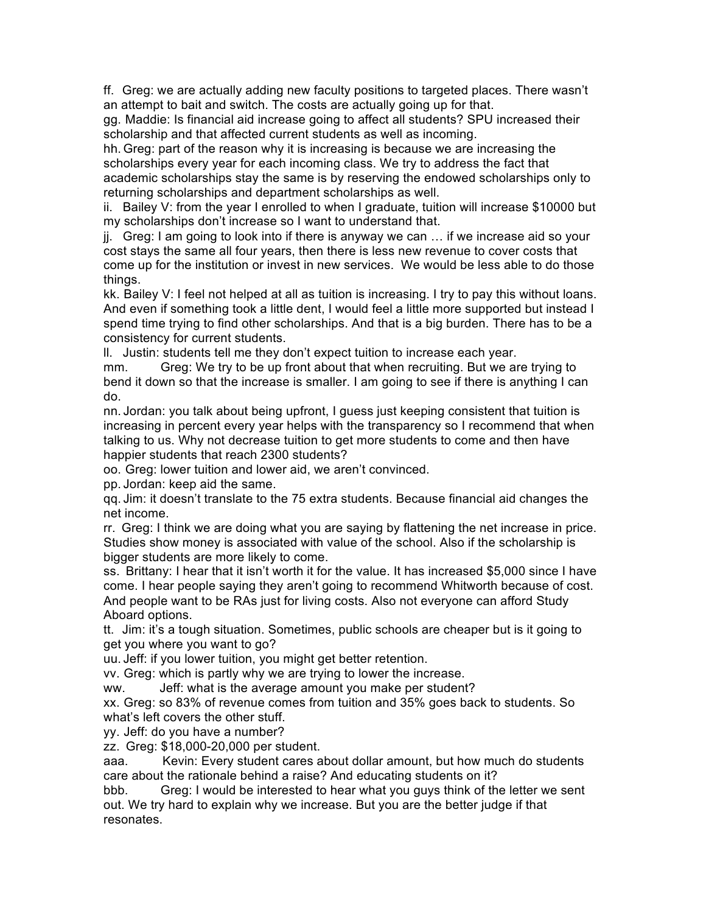ff. Greg: we are actually adding new faculty positions to targeted places. There wasn't an attempt to bait and switch. The costs are actually going up for that.

gg. Maddie: Is financial aid increase going to affect all students? SPU increased their scholarship and that affected current students as well as incoming.

hh. Greg: part of the reason why it is increasing is because we are increasing the scholarships every year for each incoming class. We try to address the fact that academic scholarships stay the same is by reserving the endowed scholarships only to returning scholarships and department scholarships as well.

ii. Bailey V: from the year I enrolled to when I graduate, tuition will increase \$10000 but my scholarships don't increase so I want to understand that.

jj. Greg: I am going to look into if there is anyway we can … if we increase aid so your cost stays the same all four years, then there is less new revenue to cover costs that come up for the institution or invest in new services. We would be less able to do those things.

kk. Bailey V: I feel not helped at all as tuition is increasing. I try to pay this without loans. And even if something took a little dent, I would feel a little more supported but instead I spend time trying to find other scholarships. And that is a big burden. There has to be a consistency for current students.

ll. Justin: students tell me they don't expect tuition to increase each year.

mm. Greg: We try to be up front about that when recruiting. But we are trying to bend it down so that the increase is smaller. I am going to see if there is anything I can do.

nn. Jordan: you talk about being upfront, I guess just keeping consistent that tuition is increasing in percent every year helps with the transparency so I recommend that when talking to us. Why not decrease tuition to get more students to come and then have happier students that reach 2300 students?

oo. Greg: lower tuition and lower aid, we aren't convinced.

pp. Jordan: keep aid the same.

qq. Jim: it doesn't translate to the 75 extra students. Because financial aid changes the net income.

rr. Greg: I think we are doing what you are saying by flattening the net increase in price. Studies show money is associated with value of the school. Also if the scholarship is bigger students are more likely to come.

ss. Brittany: I hear that it isn't worth it for the value. It has increased \$5,000 since I have come. I hear people saying they aren't going to recommend Whitworth because of cost. And people want to be RAs just for living costs. Also not everyone can afford Study Aboard options.

tt. Jim: it's a tough situation. Sometimes, public schools are cheaper but is it going to get you where you want to go?

uu. Jeff: if you lower tuition, you might get better retention.

vv. Greg: which is partly why we are trying to lower the increase.

ww. Jeff: what is the average amount you make per student?

xx. Greg: so 83% of revenue comes from tuition and 35% goes back to students. So what's left covers the other stuff.

yy. Jeff: do you have a number?

zz. Greg: \$18,000-20,000 per student.

aaa. Kevin: Every student cares about dollar amount, but how much do students care about the rationale behind a raise? And educating students on it?

bbb. Greg: I would be interested to hear what you guys think of the letter we sent out. We try hard to explain why we increase. But you are the better judge if that resonates.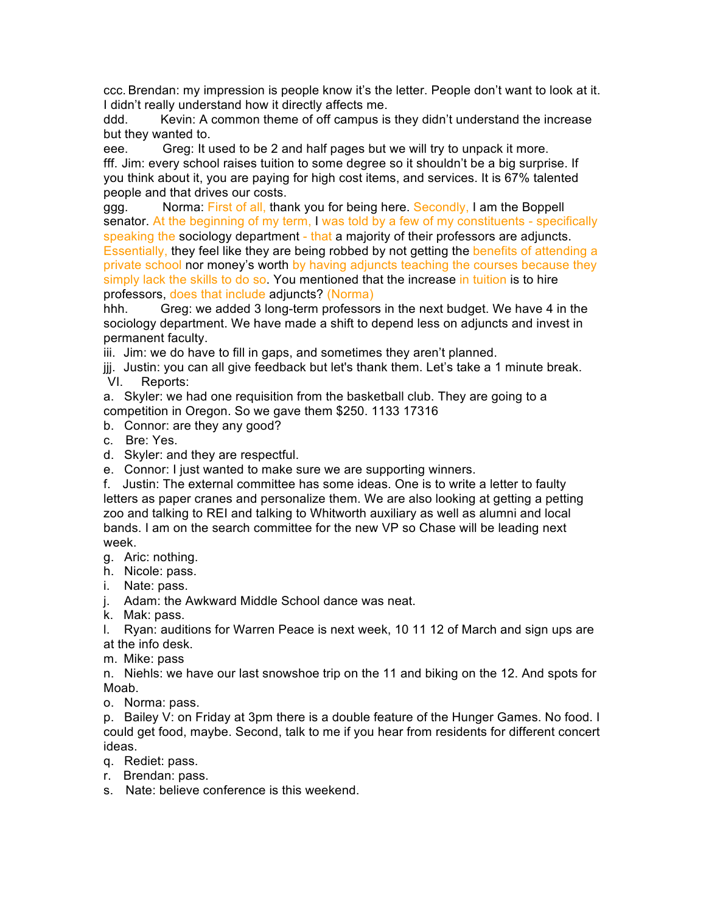ccc. Brendan: my impression is people know it's the letter. People don't want to look at it. I didn't really understand how it directly affects me.

ddd. Kevin: A common theme of off campus is they didn't understand the increase but they wanted to.

eee. Greg: It used to be 2 and half pages but we will try to unpack it more. fff. Jim: every school raises tuition to some degree so it shouldn't be a big surprise. If you think about it, you are paying for high cost items, and services. It is 67% talented people and that drives our costs.

ggg. Norma: First of all, thank you for being here. Secondly, I am the Boppell senator. At the beginning of my term, I was told by a few of my constituents - specifically speaking the sociology department - that a majority of their professors are adjuncts. Essentially, they feel like they are being robbed by not getting the benefits of attending a private school nor money's worth by having adjuncts teaching the courses because they simply lack the skills to do so. You mentioned that the increase in tuition is to hire professors, does that include adjuncts? (Norma)

hhh. Greg: we added 3 long-term professors in the next budget. We have 4 in the sociology department. We have made a shift to depend less on adjuncts and invest in permanent faculty.

iii. Jim: we do have to fill in gaps, and sometimes they aren't planned.

jjj. Justin: you can all give feedback but let's thank them. Let's take a 1 minute break. VI. Reports:

a. Skyler: we had one requisition from the basketball club. They are going to a competition in Oregon. So we gave them \$250. 1133 17316

b. Connor: are they any good?

c. Bre: Yes.

d. Skyler: and they are respectful.

e. Connor: I just wanted to make sure we are supporting winners.

f. Justin: The external committee has some ideas. One is to write a letter to faulty letters as paper cranes and personalize them. We are also looking at getting a petting zoo and talking to REI and talking to Whitworth auxiliary as well as alumni and local bands. I am on the search committee for the new VP so Chase will be leading next week.

g. Aric: nothing.

h. Nicole: pass.

i. Nate: pass.

j. Adam: the Awkward Middle School dance was neat.

k. Mak: pass.

l. Ryan: auditions for Warren Peace is next week, 10 11 12 of March and sign ups are at the info desk.

m. Mike: pass

n. Niehls: we have our last snowshoe trip on the 11 and biking on the 12. And spots for Moab.

o. Norma: pass.

p. Bailey V: on Friday at 3pm there is a double feature of the Hunger Games. No food. I could get food, maybe. Second, talk to me if you hear from residents for different concert ideas.

- q. Rediet: pass.
- r. Brendan: pass.
- s. Nate: believe conference is this weekend.